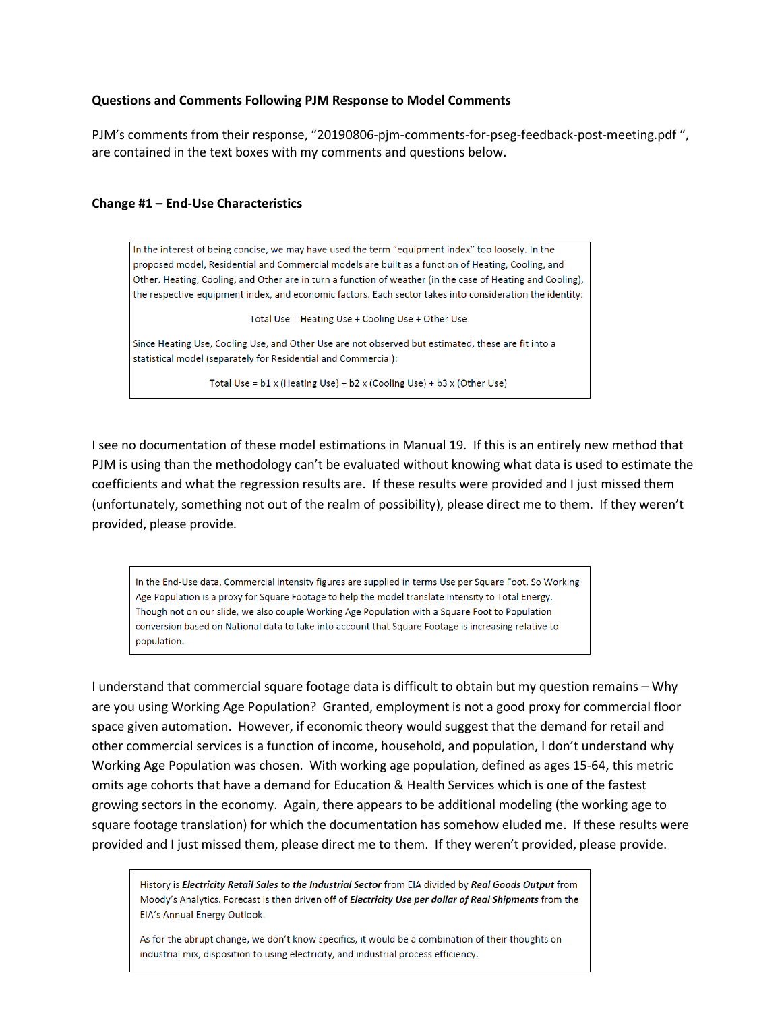## **Questions and Comments Following PJM Response to Model Comments**

PJM's comments from their response, "20190806-pjm-comments-for-pseg-feedback-post-meeting.pdf ", are contained in the text boxes with my comments and questions below.

## **Change #1 – End-Use Characteristics**

In the interest of being concise, we may have used the term "equipment index" too loosely. In the proposed model, Residential and Commercial models are built as a function of Heating, Cooling, and Other. Heating, Cooling, and Other are in turn a function of weather (in the case of Heating and Cooling), the respective equipment index, and economic factors. Each sector takes into consideration the identity:

Total Use = Heating Use + Cooling Use + Other Use

Since Heating Use, Cooling Use, and Other Use are not observed but estimated, these are fit into a statistical model (separately for Residential and Commercial):

Total Use =  $b1 x$  (Heating Use) +  $b2 x$  (Cooling Use) +  $b3 x$  (Other Use)

I see no documentation of these model estimations in Manual 19. If this is an entirely new method that PJM is using than the methodology can't be evaluated without knowing what data is used to estimate the coefficients and what the regression results are. If these results were provided and I just missed them (unfortunately, something not out of the realm of possibility), please direct me to them. If they weren't provided, please provide.

In the End-Use data, Commercial intensity figures are supplied in terms Use per Square Foot. So Working Age Population is a proxy for Square Footage to help the model translate Intensity to Total Energy. Though not on our slide, we also couple Working Age Population with a Square Foot to Population conversion based on National data to take into account that Square Footage is increasing relative to population.

I understand that commercial square footage data is difficult to obtain but my question remains – Why are you using Working Age Population? Granted, employment is not a good proxy for commercial floor space given automation. However, if economic theory would suggest that the demand for retail and other commercial services is a function of income, household, and population, I don't understand why Working Age Population was chosen. With working age population, defined as ages 15-64, this metric omits age cohorts that have a demand for Education & Health Services which is one of the fastest growing sectors in the economy. Again, there appears to be additional modeling (the working age to square footage translation) for which the documentation has somehow eluded me. If these results were provided and I just missed them, please direct me to them. If they weren't provided, please provide.

History is Electricity Retail Sales to the Industrial Sector from EIA divided by Real Goods Output from Moody's Analytics. Forecast is then driven off of Electricity Use per dollar of Real Shipments from the EIA's Annual Energy Outlook.

As for the abrupt change, we don't know specifics, it would be a combination of their thoughts on industrial mix, disposition to using electricity, and industrial process efficiency.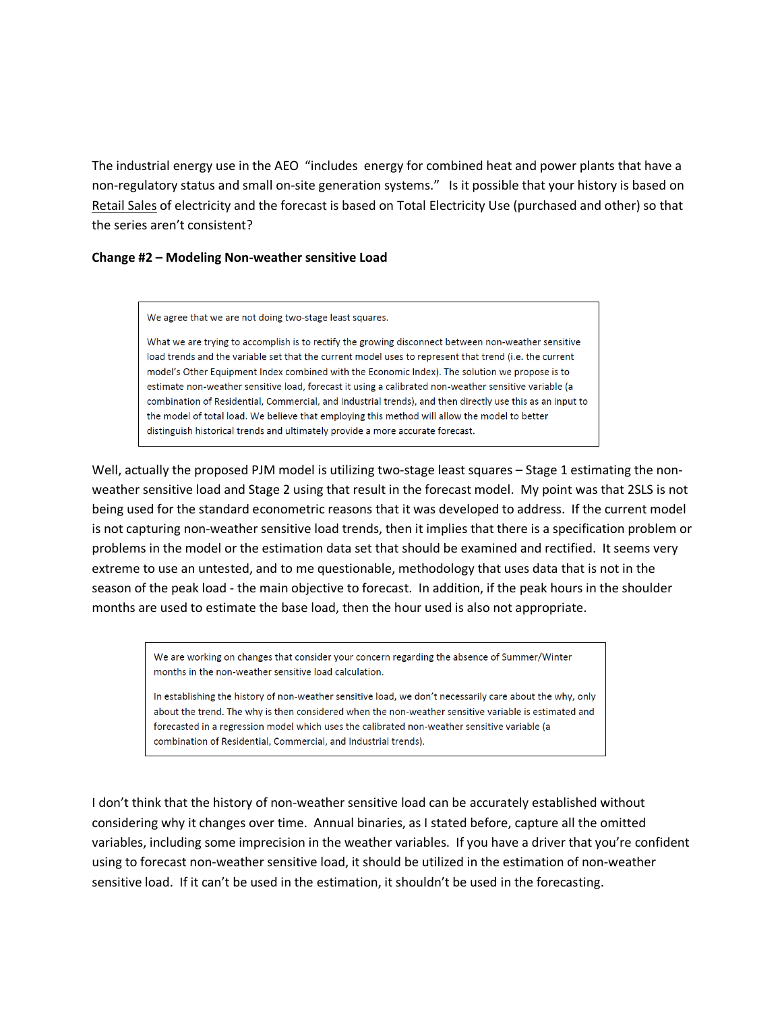The industrial energy use in the AEO "includes energy for combined heat and power plants that have a non-regulatory status and small on-site generation systems." Is it possible that your history is based on Retail Sales of electricity and the forecast is based on Total Electricity Use (purchased and other) so that the series aren't consistent?

## **Change #2 – Modeling Non-weather sensitive Load**

We agree that we are not doing two-stage least squares.

What we are trying to accomplish is to rectify the growing disconnect between non-weather sensitive load trends and the variable set that the current model uses to represent that trend (i.e. the current model's Other Equipment Index combined with the Economic Index). The solution we propose is to estimate non-weather sensitive load, forecast it using a calibrated non-weather sensitive variable (a combination of Residential, Commercial, and Industrial trends), and then directly use this as an input to the model of total load. We believe that employing this method will allow the model to better distinguish historical trends and ultimately provide a more accurate forecast.

Well, actually the proposed PJM model is utilizing two-stage least squares - Stage 1 estimating the nonweather sensitive load and Stage 2 using that result in the forecast model. My point was that 2SLS is not being used for the standard econometric reasons that it was developed to address. If the current model is not capturing non-weather sensitive load trends, then it implies that there is a specification problem or problems in the model or the estimation data set that should be examined and rectified. It seems very extreme to use an untested, and to me questionable, methodology that uses data that is not in the season of the peak load - the main objective to forecast. In addition, if the peak hours in the shoulder months are used to estimate the base load, then the hour used is also not appropriate.

We are working on changes that consider your concern regarding the absence of Summer/Winter months in the non-weather sensitive load calculation.

In establishing the history of non-weather sensitive load, we don't necessarily care about the why, only about the trend. The why is then considered when the non-weather sensitive variable is estimated and forecasted in a regression model which uses the calibrated non-weather sensitive variable (a combination of Residential, Commercial, and Industrial trends).

I don't think that the history of non-weather sensitive load can be accurately established without considering why it changes over time. Annual binaries, as I stated before, capture all the omitted variables, including some imprecision in the weather variables. If you have a driver that you're confident using to forecast non-weather sensitive load, it should be utilized in the estimation of non-weather sensitive load. If it can't be used in the estimation, it shouldn't be used in the forecasting.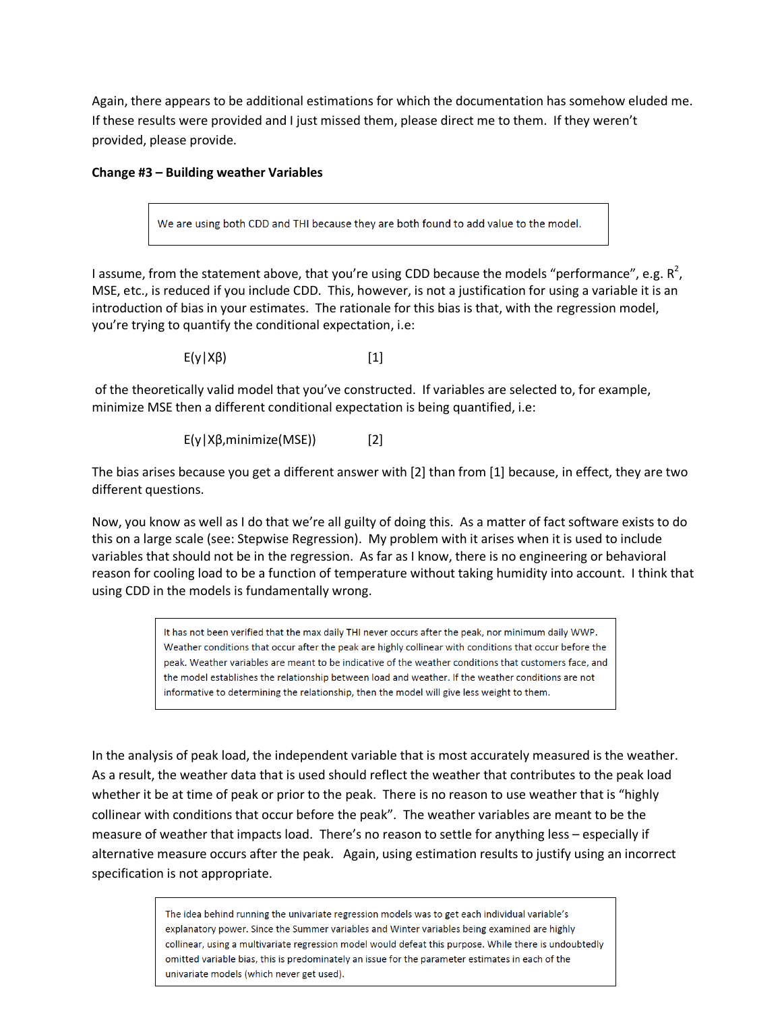Again, there appears to be additional estimations for which the documentation has somehow eluded me. If these results were provided and I just missed them, please direct me to them. If they weren't provided, please provide.

## **Change #3 – Building weather Variables**

We are using both CDD and THI because they are both found to add value to the model.

I assume, from the statement above, that you're using CDD because the models "performance", e.g.  $R^2$ , MSE, etc., is reduced if you include CDD. This, however, is not a justification for using a variable it is an introduction of bias in your estimates. The rationale for this bias is that, with the regression model, you're trying to quantify the conditional expectation, i.e:

 $E(y|X\beta)$  [1]

 of the theoretically valid model that you've constructed. If variables are selected to, for example, minimize MSE then a different conditional expectation is being quantified, i.e:

E(y|Xβ,minimize(MSE)) [2]

The bias arises because you get a different answer with [2] than from [1] because, in effect, they are two different questions.

Now, you know as well as I do that we're all guilty of doing this. As a matter of fact software exists to do this on a large scale (see: Stepwise Regression). My problem with it arises when it is used to include variables that should not be in the regression. As far as I know, there is no engineering or behavioral reason for cooling load to be a function of temperature without taking humidity into account. I think that using CDD in the models is fundamentally wrong.

> It has not been verified that the max daily THI never occurs after the peak, nor minimum daily WWP. Weather conditions that occur after the peak are highly collinear with conditions that occur before the peak. Weather variables are meant to be indicative of the weather conditions that customers face, and the model establishes the relationship between load and weather. If the weather conditions are not informative to determining the relationship, then the model will give less weight to them.

In the analysis of peak load, the independent variable that is most accurately measured is the weather. As a result, the weather data that is used should reflect the weather that contributes to the peak load whether it be at time of peak or prior to the peak. There is no reason to use weather that is "highly collinear with conditions that occur before the peak". The weather variables are meant to be the measure of weather that impacts load. There's no reason to settle for anything less – especially if alternative measure occurs after the peak. Again, using estimation results to justify using an incorrect specification is not appropriate.

> The idea behind running the univariate regression models was to get each individual variable's explanatory power. Since the Summer variables and Winter variables being examined are highly collinear, using a multivariate regression model would defeat this purpose. While there is undoubtedly omitted variable bias, this is predominately an issue for the parameter estimates in each of the univariate models (which never get used).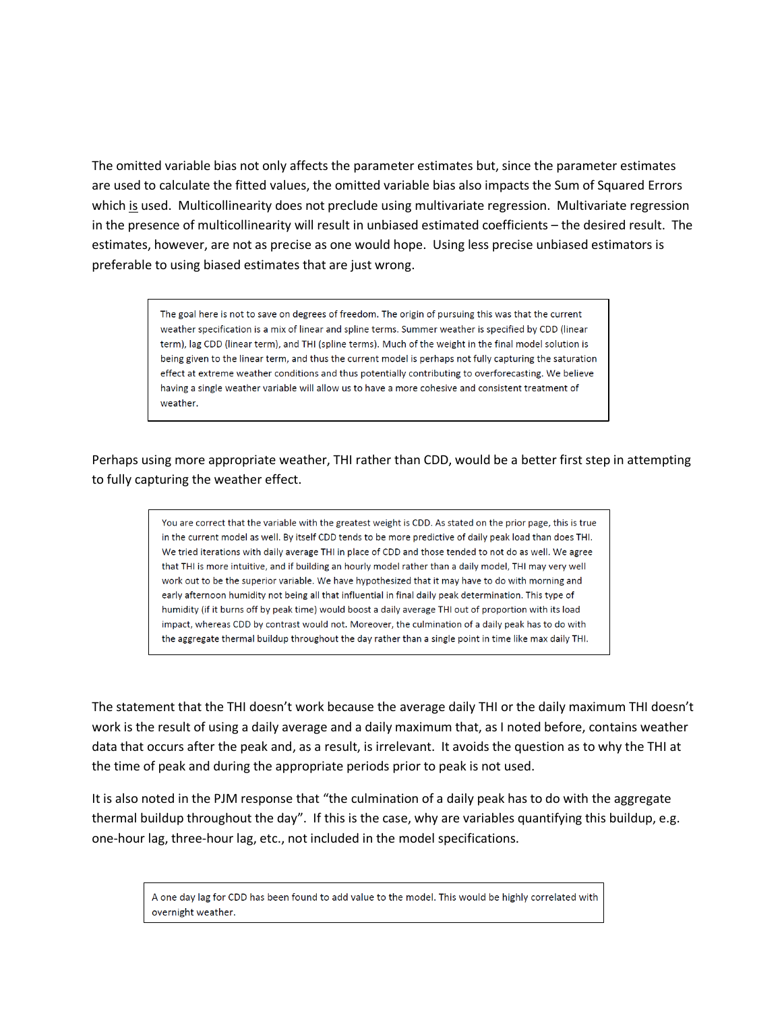The omitted variable bias not only affects the parameter estimates but, since the parameter estimates are used to calculate the fitted values, the omitted variable bias also impacts the Sum of Squared Errors which is used. Multicollinearity does not preclude using multivariate regression. Multivariate regression in the presence of multicollinearity will result in unbiased estimated coefficients – the desired result. The estimates, however, are not as precise as one would hope. Using less precise unbiased estimators is preferable to using biased estimates that are just wrong.

> The goal here is not to save on degrees of freedom. The origin of pursuing this was that the current weather specification is a mix of linear and spline terms. Summer weather is specified by CDD (linear term), lag CDD (linear term), and THI (spline terms). Much of the weight in the final model solution is being given to the linear term, and thus the current model is perhaps not fully capturing the saturation effect at extreme weather conditions and thus potentially contributing to overforecasting. We believe having a single weather variable will allow us to have a more cohesive and consistent treatment of weather.

Perhaps using more appropriate weather, THI rather than CDD, would be a better first step in attempting to fully capturing the weather effect.

> You are correct that the variable with the greatest weight is CDD. As stated on the prior page, this is true in the current model as well. By itself CDD tends to be more predictive of daily peak load than does THI. We tried iterations with daily average THI in place of CDD and those tended to not do as well. We agree that THI is more intuitive, and if building an hourly model rather than a daily model, THI may very well work out to be the superior variable. We have hypothesized that it may have to do with morning and early afternoon humidity not being all that influential in final daily peak determination. This type of humidity (if it burns off by peak time) would boost a daily average THI out of proportion with its load impact, whereas CDD by contrast would not. Moreover, the culmination of a daily peak has to do with the aggregate thermal buildup throughout the day rather than a single point in time like max daily THI.

The statement that the THI doesn't work because the average daily THI or the daily maximum THI doesn't work is the result of using a daily average and a daily maximum that, as I noted before, contains weather data that occurs after the peak and, as a result, is irrelevant. It avoids the question as to why the THI at the time of peak and during the appropriate periods prior to peak is not used.

It is also noted in the PJM response that "the culmination of a daily peak has to do with the aggregate thermal buildup throughout the day". If this is the case, why are variables quantifying this buildup, e.g. one-hour lag, three-hour lag, etc., not included in the model specifications.

A one day lag for CDD has been found to add value to the model. This would be highly correlated with overnight weather.